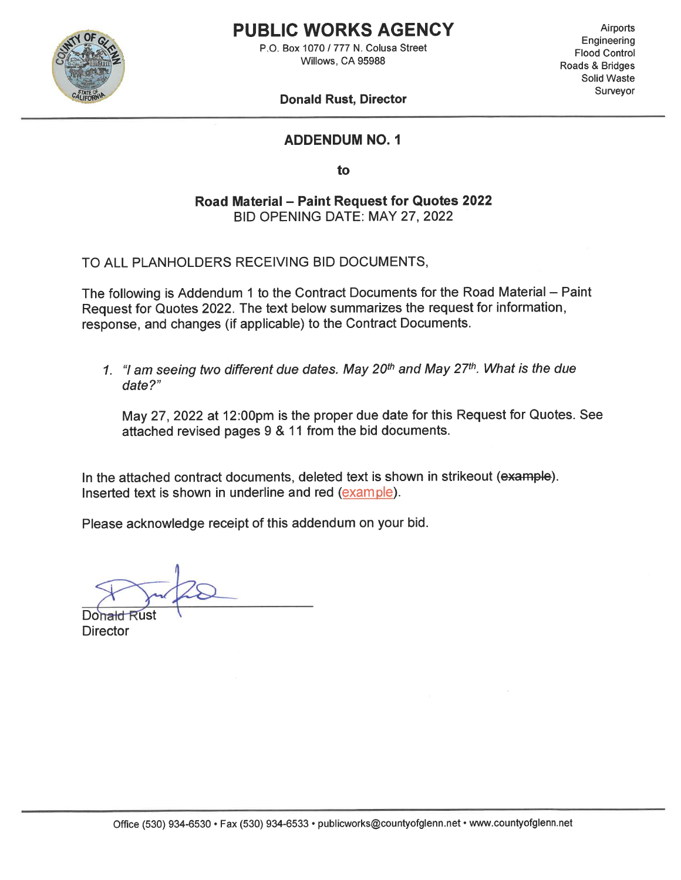

## **PUBLIC WORKS AGENCY**

P.O. Box 1070 / 777 N. Colusa Street Willows, CA 95988

**Airports** Engineering **Flood Control** Roads & Bridges Solid Waste Surveyor

#### **Donald Rust, Director**

#### **ADDENDUM NO. 1**

to

Road Material - Paint Request for Quotes 2022 BID OPENING DATE: MAY 27, 2022

TO ALL PLANHOLDERS RECEIVING BID DOCUMENTS,

The following is Addendum 1 to the Contract Documents for the Road Material - Paint Request for Quotes 2022. The text below summarizes the request for information, response, and changes (if applicable) to the Contract Documents.

1. "I am seeing two different due dates. May 20<sup>th</sup> and May 27<sup>th</sup>. What is the due date?"

May 27, 2022 at 12:00pm is the proper due date for this Request for Quotes. See attached revised pages 9 & 11 from the bid documents.

In the attached contract documents, deleted text is shown in strikeout (example). Inserted text is shown in underline and red (example).

Please acknowledge receipt of this addendum on your bid.

Donald **Rust Director**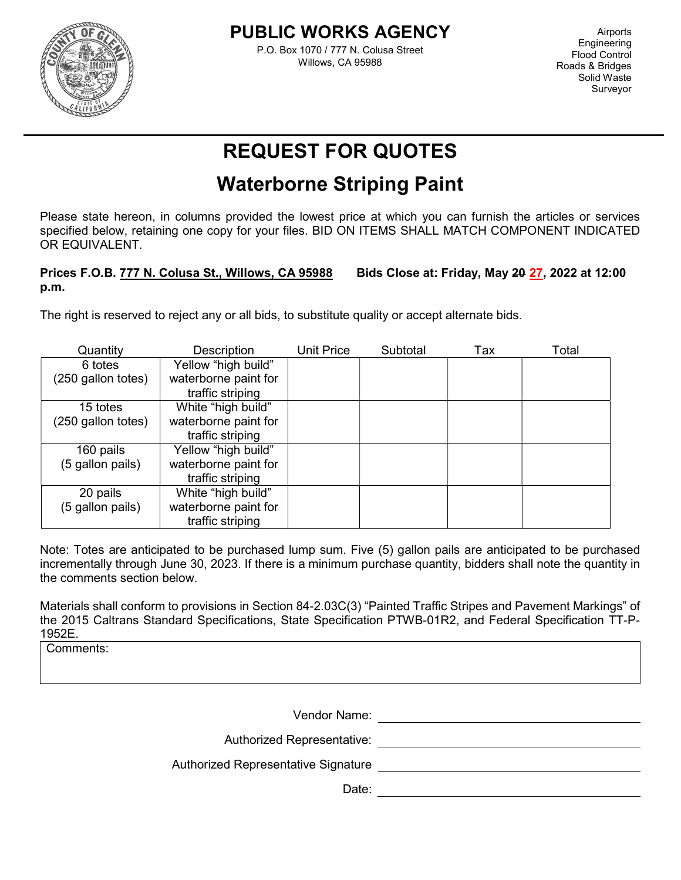

l

### PUBLIC WORKS AGENCY

P.O. Box 1070 / 777 N. Colusa Street Willows, CA 95988

Airports **Engineering** Flood Control Roads & Bridges Solid Waste Surveyor

# REQUEST FOR QUOTES

## Waterborne Striping Paint

Please state hereon, in columns provided the lowest price at which you can furnish the articles or services specified below, retaining one copy for your files. BID ON ITEMS SHALL MATCH COMPONENT INDICATED OR EQUIVALENT.

#### Prices F.O.B. 777 N. Colusa St., Willows, CA 95988 Bids Close at: Friday, May 20 27, 2022 at 12:00 p.m.

The right is reserved to reject any or all bids, to substitute quality or accept alternate bids.

| Quantity           | Description          | Unit Price | Subtotal | Tax | Total |
|--------------------|----------------------|------------|----------|-----|-------|
| 6 totes            | Yellow "high build"  |            |          |     |       |
| (250 gallon totes) | waterborne paint for |            |          |     |       |
|                    | traffic striping     |            |          |     |       |
| 15 totes           | White "high build"   |            |          |     |       |
| (250 gallon totes) | waterborne paint for |            |          |     |       |
|                    | traffic striping     |            |          |     |       |
| 160 pails          | Yellow "high build"  |            |          |     |       |
| (5 gallon pails)   | waterborne paint for |            |          |     |       |
|                    | traffic striping     |            |          |     |       |
| 20 pails           | White "high build"   |            |          |     |       |
| (5 gallon pails)   | waterborne paint for |            |          |     |       |
|                    | traffic striping     |            |          |     |       |

Note: Totes are anticipated to be purchased lump sum. Five (5) gallon pails are anticipated to be purchased incrementally through June 30, 2023. If there is a minimum purchase quantity, bidders shall note the quantity in the comments section below.

Materials shall conform to provisions in Section 84-2.03C(3) "Painted Traffic Stripes and Pavement Markings" of the 2015 Caltrans Standard Specifications, State Specification PTWB-01R2, and Federal Specification TT-P-1952E.

Comments:

Vendor Name:

Authorized Representative:

Authorized Representative Signature

Date: